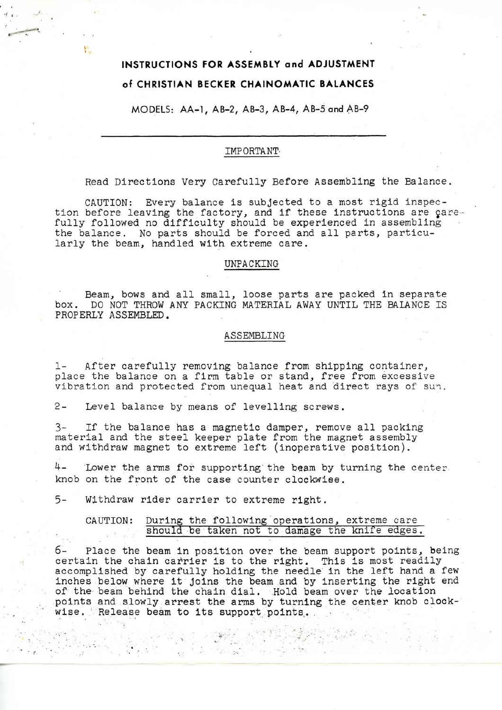# **INSTRUCTIONS FOR ASSEMBLY and ADJUSTMENT of CHRISTIAN BECKER CHAINOMATIC BALANCES**

μ.

MODELS: AA-1, AB-2, AB-3, AB-4, AB-5 and AB-9

### IMPORTANT-

Read Directions Very Carefully Before Assembling the Balance.

CAUTION: Every balance is subjected to a most rigid inspection before leaving the factory, and if these instructions are carefully followed no difficulty should be experienced in assembling the balance. No parts should be forced and all parts, particularly the beam, handled with extreme care.

## UNPACKING

Beam, bows and all small, loose parts are packed in separate box. DO NOT THROW ANY PACKING MATERIAL AWAY UNTIL THE BALANCE IS PROPERLY ASSEMBLED.

#### ASSEMBLING

1- After carefully removing balance from shipping container, place the balance on a firm table or stand, free from excessive vibration and protected from unequal heat and direct rays of sun.

2- Level balance by means of levelling screws.

3- If the balance has a magnetic damper, remove all packing material and the steel keeper plate from the magnet assembly and withdraw magnet to extreme left (inoperative position).

4- Lower the arms for supporting the beam by turning the center knob on the front of the case counter clockwise.

5- Withdraw rider carrier to extreme right.

 $\sim$   $t$ 

### CAUTION: During the following operations, extreme care should be taken not to damage the knife edges.

6- Place the beam in position over the beam support points, being certain the chain carrier is to the right. This is most readily accomplished by carefully holding the needle in the left hand a few inches below where it joins the beam and by inserting the right end of the beam behind the chain dial. Hold beam over the location points and slowly arrest the arms by turning the center knob clockwise. Release beam to its support points.

> $\sim$  $\sigma \rightarrow \frac{1}{2}$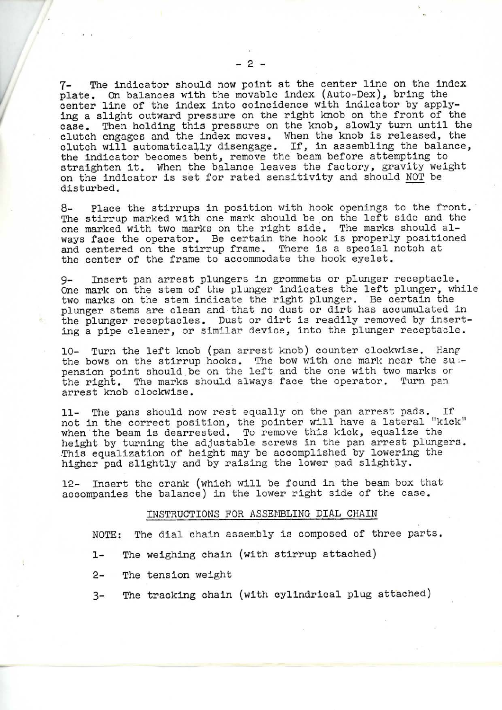7- The indicator should now point at the center line on the index plate. On balances with the movable index (Auto-Dex), bring the center line of the index into coincidence with indicator by applying a slight outward pressure on the right knob on the front of the case. Then holding this pressure on the knob, slowly turn until the clutch engages and the index moves. When the knob is released, the clutch will automatically disengage. If, in assembling the balance, the indicator becomes bent, remove the beam before attempting to straighten it. When the balance leaves the factory, gravity weight on the indicator is set for rated sensitivity and should NOT be disturbed.

8- Place the stirrups in position with hook openings to the front. The stirrup marked with one mark should be on the left side and the one marked with two marks on the right side. The marks should always face the operator. Be certain the hook is properly positioned and centered on the stirrup frame. There is a special notch at the center of the frame to accommodate the hook eyelet.

9- Insert pan arrest plungers in grommets or plunger receptacle. One mark on the stem of the plunger indicates the left plunger, while two marks on the stem indicate the right plunger. Be certain the plunger stems are clean and that no dust or dirt has accumulated in the plunger receptacles. Dust or dirt is readily removed by inserting a pipe cleaner, or similar device, into the plunger receptacle.

10- Turn the left knob (pan arrest knob) counter clockwise. Hang the bows on the stirrup hooks. The bow with one mark near the su :pension point should be on the left and the one with two marks or the right. The marks should always face the operator. Turn pan arrest knob clockwise.

11- The pans should now rest equally on the pan arrest pads. If not in the correct position, the pointer will have a lateral "kick" when the beam is dearrested. To remove this kick, equalize the height by turning the adjustable screws in the pan arrest plungers. This equalization of height may be accomplished by lowering the higher pad slightly and by raising the lower pad slightly.

12- Insert the crank (which will be found in the beam box that accompanies the balance) in the lower right side of the case.

### INSTRUCTIONS FOR ASSEMBLING DIAL CHAIN

NOTE: The dial chain assembly is composed of three parts.

- 1- The weighing chain (with stirrup attached)
- 2- The tension weight
- 3- The tracking chain (with cylindrical plug attached)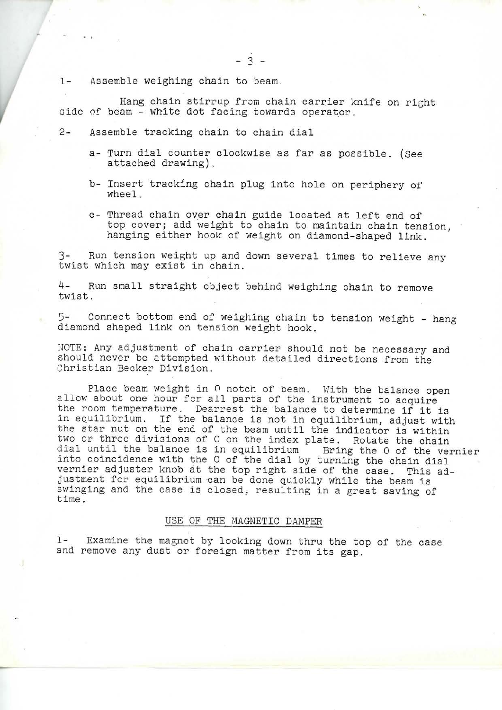1- Assemble weighing chain to beam.

,

Hang chain stirrup from chain carrier knife on right side of beam - white dot facing towards operator.

- 2- Assemble tracking chain to chain dial
	- a- Turn dial counter clockwise as far as possible. (See attached drawing).
	- b- Insert tracking chain plug into hole on periphery of wheel.
	- c- Thread chain over chain guide located at left end of top cover; add weight to chain to maintain chain tension, hanging either hook of weight on diamond-shaped link.

Run tension weight up and down several times to relieve any twist which may exist in chain.

4- Run small straight object behind weighing chain to remove twist.

5- Connect bottom end of weighing chain to tension weight - hang diamond shaped link on tension weight hook.

NOTE: Any adjustment of chain carrier should not be necessary and should never be attempted without detailed directions from the Christian Becker Division.

Place beam weight in 0 notch of beam. With the balance open allow about one hour for all parts of the instrument to acquire the room temperature. Dearrest the balance to determine if it is in equilibrium. If the balance is not in equilibrium, adjust with the star nut on the end of the beam until the indicator is within two or three divisions of 0 on the index plate. Rotate the chain dial until the balance is in equilibrium Bring the 0 of the vernier into coincidence with the 0 of the dial by turning the chain dial vernier adjuster knob at the top right side of the case. This adjustment for equilibrium can be done quickly while the beam is swinging and the case is closed, resulting in a great saving of time .

### USE OF THE MAGNETIC DAMPER

1- Examine the magnet by looking down thru the top of the case and remove any dust or foreign matter from its gap.